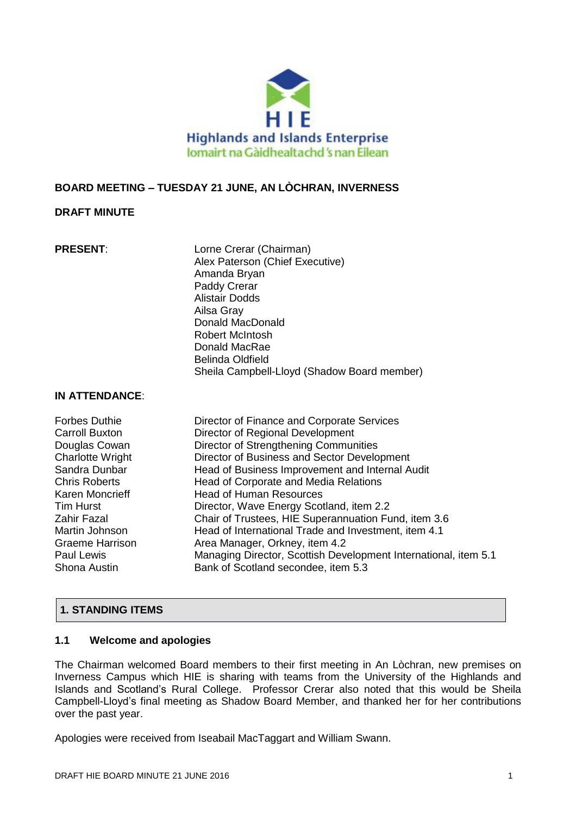

# **BOARD MEETING – TUESDAY 21 JUNE, AN LÒCHRAN, INVERNESS**

# **DRAFT MINUTE**

**PRESENT:** Lorne Crerar (Chairman) Alex Paterson (Chief Executive) Amanda Bryan Paddy Crerar Alistair Dodds Ailsa Gray Donald MacDonald Robert McIntosh Donald MacRae Belinda Oldfield Sheila Campbell-Lloyd (Shadow Board member)

### **IN ATTENDANCE**:

| <b>Forbes Duthie</b>    | Director of Finance and Corporate Services                      |
|-------------------------|-----------------------------------------------------------------|
| <b>Carroll Buxton</b>   | Director of Regional Development                                |
| Douglas Cowan           | Director of Strengthening Communities                           |
| <b>Charlotte Wright</b> | Director of Business and Sector Development                     |
| Sandra Dunbar           | Head of Business Improvement and Internal Audit                 |
| <b>Chris Roberts</b>    | Head of Corporate and Media Relations                           |
| Karen Moncrieff         | <b>Head of Human Resources</b>                                  |
| <b>Tim Hurst</b>        | Director, Wave Energy Scotland, item 2.2                        |
| Zahir Fazal             | Chair of Trustees, HIE Superannuation Fund, item 3.6            |
| Martin Johnson          | Head of International Trade and Investment, item 4.1            |
| <b>Graeme Harrison</b>  | Area Manager, Orkney, item 4.2                                  |
| Paul Lewis              | Managing Director, Scottish Development International, item 5.1 |
| Shona Austin            | Bank of Scotland secondee, item 5.3                             |

# **1. STANDING ITEMS**

# **1.1 Welcome and apologies**

The Chairman welcomed Board members to their first meeting in An Lòchran, new premises on Inverness Campus which HIE is sharing with teams from the University of the Highlands and Islands and Scotland's Rural College. Professor Crerar also noted that this would be Sheila Campbell-Lloyd's final meeting as Shadow Board Member, and thanked her for her contributions over the past year.

Apologies were received from Iseabail MacTaggart and William Swann.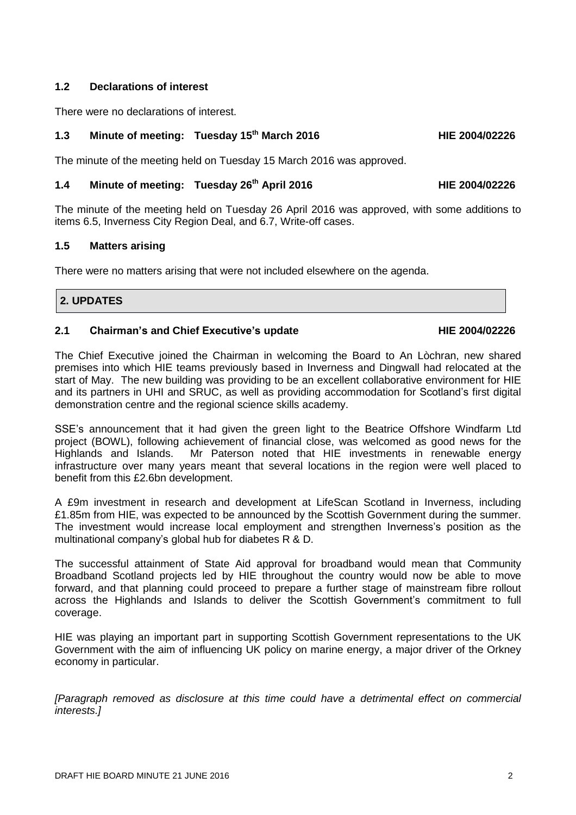# **1.2 Declarations of interest**

There were no declarations of interest.

### **1.3 Minute of meeting: Tuesday 15th March 2016 HIE 2004/02226**

The minute of the meeting held on Tuesday 15 March 2016 was approved.

# **1.4 Minute of meeting: Tuesday 26th April 2016 HIE 2004/02226**

The minute of the meeting held on Tuesday 26 April 2016 was approved, with some additions to items 6.5, Inverness City Region Deal, and 6.7, Write-off cases.

### **1.5 Matters arising**

There were no matters arising that were not included elsewhere on the agenda.

### **2. UPDATES**

### **2.1 Chairman's and Chief Executive's update HIE 2004/02226**

The Chief Executive joined the Chairman in welcoming the Board to An Lòchran, new shared premises into which HIE teams previously based in Inverness and Dingwall had relocated at the start of May. The new building was providing to be an excellent collaborative environment for HIE and its partners in UHI and SRUC, as well as providing accommodation for Scotland's first digital demonstration centre and the regional science skills academy.

SSE's announcement that it had given the green light to the Beatrice Offshore Windfarm Ltd project (BOWL), following achievement of financial close, was welcomed as good news for the Highlands and Islands. Mr Paterson noted that HIE investments in renewable energy infrastructure over many years meant that several locations in the region were well placed to benefit from this £2.6bn development.

A £9m investment in research and development at LifeScan Scotland in Inverness, including £1.85m from HIE, was expected to be announced by the Scottish Government during the summer. The investment would increase local employment and strengthen Inverness's position as the multinational company's global hub for diabetes R & D.

The successful attainment of State Aid approval for broadband would mean that Community Broadband Scotland projects led by HIE throughout the country would now be able to move forward, and that planning could proceed to prepare a further stage of mainstream fibre rollout across the Highlands and Islands to deliver the Scottish Government's commitment to full coverage.

HIE was playing an important part in supporting Scottish Government representations to the UK Government with the aim of influencing UK policy on marine energy, a major driver of the Orkney economy in particular.

*[Paragraph removed as disclosure at this time could have a detrimental effect on commercial interests.]*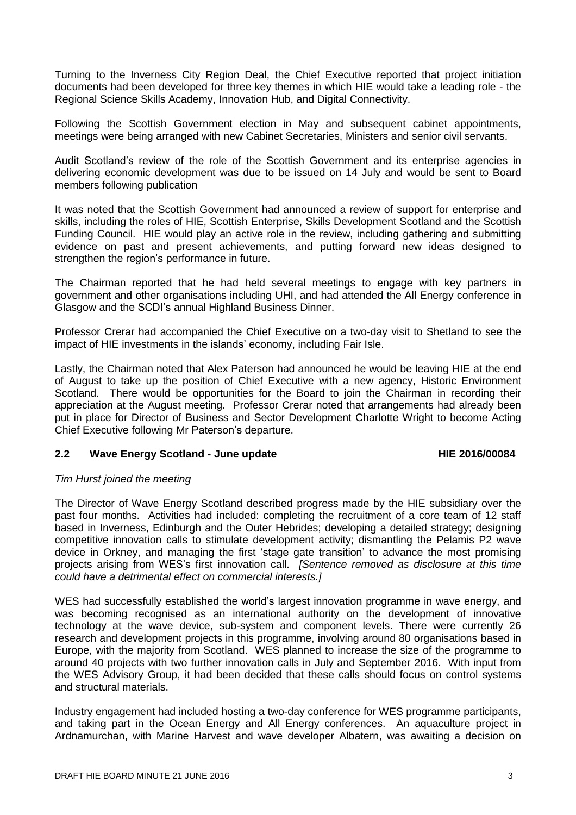Turning to the Inverness City Region Deal, the Chief Executive reported that project initiation documents had been developed for three key themes in which HIE would take a leading role - the Regional Science Skills Academy, Innovation Hub, and Digital Connectivity.

Following the Scottish Government election in May and subsequent cabinet appointments, meetings were being arranged with new Cabinet Secretaries, Ministers and senior civil servants.

Audit Scotland's review of the role of the Scottish Government and its enterprise agencies in delivering economic development was due to be issued on 14 July and would be sent to Board members following publication

It was noted that the Scottish Government had announced a review of support for enterprise and skills, including the roles of HIE, Scottish Enterprise, Skills Development Scotland and the Scottish Funding Council. HIE would play an active role in the review, including gathering and submitting evidence on past and present achievements, and putting forward new ideas designed to strengthen the region's performance in future.

The Chairman reported that he had held several meetings to engage with key partners in government and other organisations including UHI, and had attended the All Energy conference in Glasgow and the SCDI's annual Highland Business Dinner.

Professor Crerar had accompanied the Chief Executive on a two-day visit to Shetland to see the impact of HIE investments in the islands' economy, including Fair Isle.

Lastly, the Chairman noted that Alex Paterson had announced he would be leaving HIE at the end of August to take up the position of Chief Executive with a new agency, Historic Environment Scotland. There would be opportunities for the Board to join the Chairman in recording their appreciation at the August meeting. Professor Crerar noted that arrangements had already been put in place for Director of Business and Sector Development Charlotte Wright to become Acting Chief Executive following Mr Paterson's departure.

### **2.2 Wave Energy Scotland - June update HIE 2016/00084**

### *Tim Hurst joined the meeting*

The Director of Wave Energy Scotland described progress made by the HIE subsidiary over the past four months. Activities had included: completing the recruitment of a core team of 12 staff based in Inverness, Edinburgh and the Outer Hebrides; developing a detailed strategy; designing competitive innovation calls to stimulate development activity; dismantling the Pelamis P2 wave device in Orkney, and managing the first 'stage gate transition' to advance the most promising projects arising from WES's first innovation call. *[Sentence removed as disclosure at this time could have a detrimental effect on commercial interests.]*

WES had successfully established the world's largest innovation programme in wave energy, and was becoming recognised as an international authority on the development of innovative technology at the wave device, sub-system and component levels. There were currently 26 research and development projects in this programme, involving around 80 organisations based in Europe, with the majority from Scotland. WES planned to increase the size of the programme to around 40 projects with two further innovation calls in July and September 2016. With input from the WES Advisory Group, it had been decided that these calls should focus on control systems and structural materials.

Industry engagement had included hosting a two-day conference for WES programme participants, and taking part in the Ocean Energy and All Energy conferences. An aquaculture project in Ardnamurchan, with Marine Harvest and wave developer Albatern, was awaiting a decision on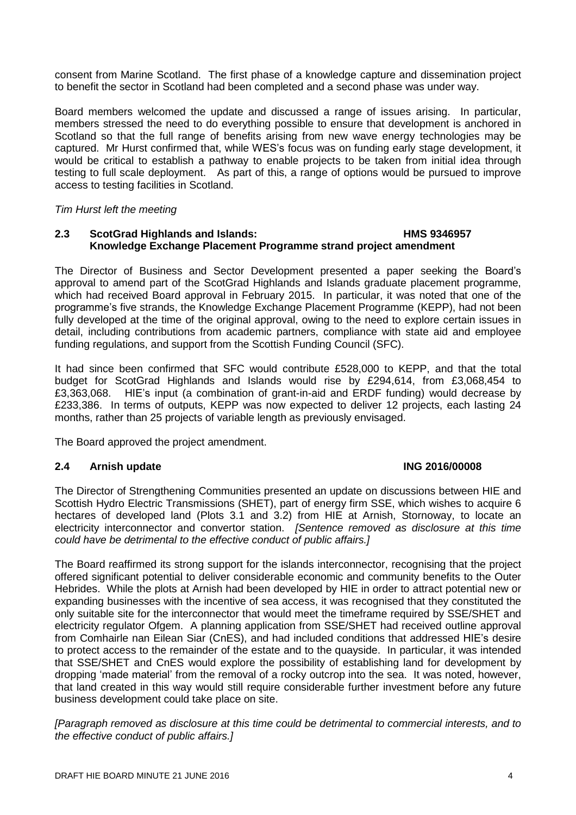consent from Marine Scotland. The first phase of a knowledge capture and dissemination project to benefit the sector in Scotland had been completed and a second phase was under way.

Board members welcomed the update and discussed a range of issues arising. In particular, members stressed the need to do everything possible to ensure that development is anchored in Scotland so that the full range of benefits arising from new wave energy technologies may be captured. Mr Hurst confirmed that, while WES's focus was on funding early stage development, it would be critical to establish a pathway to enable projects to be taken from initial idea through testing to full scale deployment. As part of this, a range of options would be pursued to improve access to testing facilities in Scotland.

*Tim Hurst left the meeting*

### **2.3 ScotGrad Highlands and Islands: HMS 9346957 Knowledge Exchange Placement Programme strand project amendment**

The Director of Business and Sector Development presented a paper seeking the Board's approval to amend part of the ScotGrad Highlands and Islands graduate placement programme, which had received Board approval in February 2015. In particular, it was noted that one of the programme's five strands, the Knowledge Exchange Placement Programme (KEPP), had not been fully developed at the time of the original approval, owing to the need to explore certain issues in detail, including contributions from academic partners, compliance with state aid and employee funding regulations, and support from the Scottish Funding Council (SFC).

It had since been confirmed that SFC would contribute £528,000 to KEPP, and that the total budget for ScotGrad Highlands and Islands would rise by £294,614, from £3,068,454 to £3,363,068. HIE's input (a combination of grant-in-aid and ERDF funding) would decrease by £233,386. In terms of outputs, KEPP was now expected to deliver 12 projects, each lasting 24 months, rather than 25 projects of variable length as previously envisaged.

The Board approved the project amendment.

### **2.4 Arnish update ING 2016/00008**

The Director of Strengthening Communities presented an update on discussions between HIE and Scottish Hydro Electric Transmissions (SHET), part of energy firm SSE, which wishes to acquire 6 hectares of developed land (Plots 3.1 and 3.2) from HIE at Arnish, Stornoway, to locate an electricity interconnector and convertor station. *[Sentence removed as disclosure at this time could have be detrimental to the effective conduct of public affairs.]*

The Board reaffirmed its strong support for the islands interconnector, recognising that the project offered significant potential to deliver considerable economic and community benefits to the Outer Hebrides. While the plots at Arnish had been developed by HIE in order to attract potential new or expanding businesses with the incentive of sea access, it was recognised that they constituted the only suitable site for the interconnector that would meet the timeframe required by SSE/SHET and electricity regulator Ofgem. A planning application from SSE/SHET had received outline approval from Comhairle nan Eilean Siar (CnES), and had included conditions that addressed HIE's desire to protect access to the remainder of the estate and to the quayside. In particular, it was intended that SSE/SHET and CnES would explore the possibility of establishing land for development by dropping 'made material' from the removal of a rocky outcrop into the sea. It was noted, however, that land created in this way would still require considerable further investment before any future business development could take place on site.

*[Paragraph removed as disclosure at this time could be detrimental to commercial interests, and to the effective conduct of public affairs.]*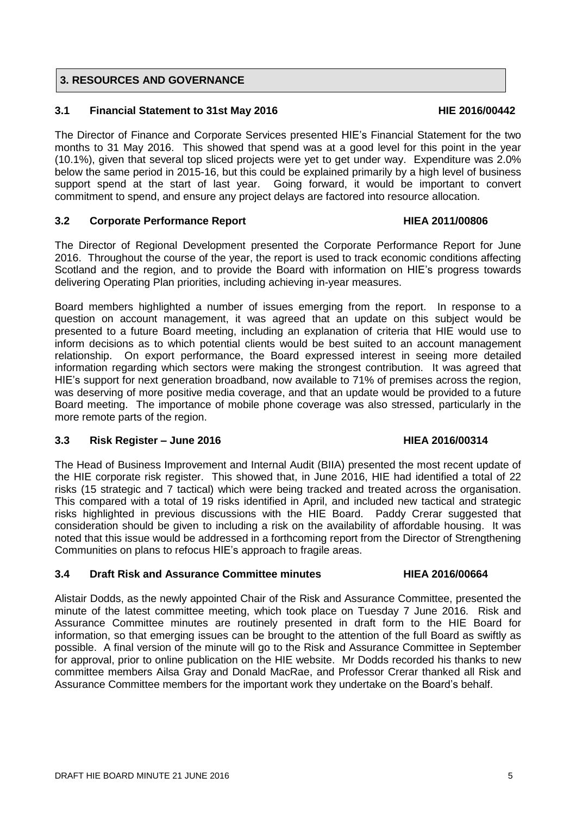# **3. RESOURCES AND GOVERNANCE**

### **3.1 Financial Statement to 31st May 2016 HIE 2016/00442**

The Director of Finance and Corporate Services presented HIE's Financial Statement for the two months to 31 May 2016. This showed that spend was at a good level for this point in the year (10.1%), given that several top sliced projects were yet to get under way. Expenditure was 2.0% below the same period in 2015-16, but this could be explained primarily by a high level of business support spend at the start of last year. Going forward, it would be important to convert commitment to spend, and ensure any project delays are factored into resource allocation.

### **3.2 Corporate Performance Report HIEA 2011/00806**

The Director of Regional Development presented the Corporate Performance Report for June 2016. Throughout the course of the year, the report is used to track economic conditions affecting Scotland and the region, and to provide the Board with information on HIE's progress towards delivering Operating Plan priorities, including achieving in-year measures.

Board members highlighted a number of issues emerging from the report. In response to a question on account management, it was agreed that an update on this subject would be presented to a future Board meeting, including an explanation of criteria that HIE would use to inform decisions as to which potential clients would be best suited to an account management relationship. On export performance, the Board expressed interest in seeing more detailed information regarding which sectors were making the strongest contribution. It was agreed that HIE's support for next generation broadband, now available to 71% of premises across the region, was deserving of more positive media coverage, and that an update would be provided to a future Board meeting. The importance of mobile phone coverage was also stressed, particularly in the more remote parts of the region.

### **3.3 Risk Register – June 2016 HIEA 2016/00314**

### The Head of Business Improvement and Internal Audit (BIIA) presented the most recent update of the HIE corporate risk register. This showed that, in June 2016, HIE had identified a total of 22 risks (15 strategic and 7 tactical) which were being tracked and treated across the organisation. This compared with a total of 19 risks identified in April, and included new tactical and strategic risks highlighted in previous discussions with the HIE Board. Paddy Crerar suggested that consideration should be given to including a risk on the availability of affordable housing. It was noted that this issue would be addressed in a forthcoming report from the Director of Strengthening Communities on plans to refocus HIE's approach to fragile areas.

### **3.4 Draft Risk and Assurance Committee minutes HIEA 2016/00664**

Alistair Dodds, as the newly appointed Chair of the Risk and Assurance Committee, presented the minute of the latest committee meeting, which took place on Tuesday 7 June 2016. Risk and Assurance Committee minutes are routinely presented in draft form to the HIE Board for information, so that emerging issues can be brought to the attention of the full Board as swiftly as possible. A final version of the minute will go to the Risk and Assurance Committee in September for approval, prior to online publication on the HIE website. Mr Dodds recorded his thanks to new committee members Ailsa Gray and Donald MacRae, and Professor Crerar thanked all Risk and Assurance Committee members for the important work they undertake on the Board's behalf.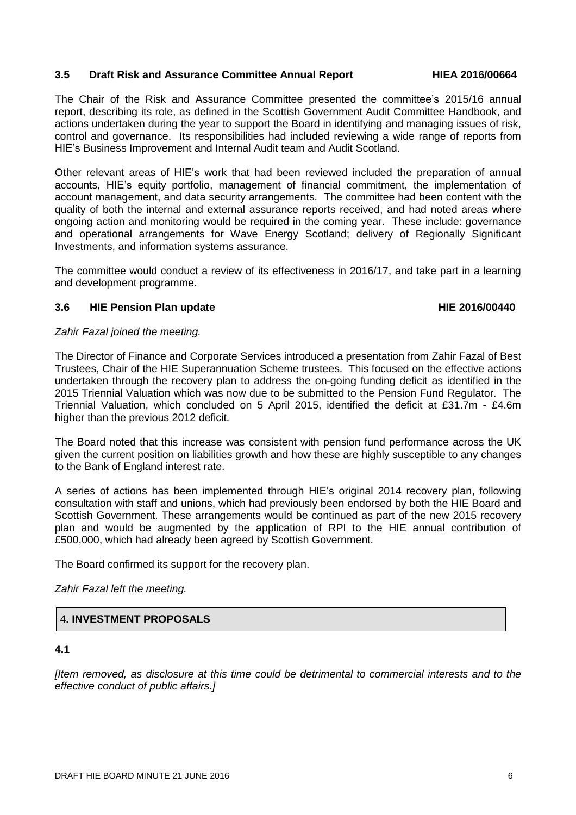### **3.5 Draft Risk and Assurance Committee Annual Report HIEA 2016/00664**

The Chair of the Risk and Assurance Committee presented the committee's 2015/16 annual report, describing its role, as defined in the Scottish Government Audit Committee Handbook, and actions undertaken during the year to support the Board in identifying and managing issues of risk, control and governance. Its responsibilities had included reviewing a wide range of reports from HIE's Business Improvement and Internal Audit team and Audit Scotland.

Other relevant areas of HIE's work that had been reviewed included the preparation of annual accounts, HIE's equity portfolio, management of financial commitment, the implementation of account management, and data security arrangements. The committee had been content with the quality of both the internal and external assurance reports received, and had noted areas where ongoing action and monitoring would be required in the coming year. These include: governance and operational arrangements for Wave Energy Scotland; delivery of Regionally Significant Investments, and information systems assurance.

The committee would conduct a review of its effectiveness in 2016/17, and take part in a learning and development programme.

### **3.6 HIE Pension Plan update HIE 2016/00440**

### *Zahir Fazal joined the meeting.*

The Director of Finance and Corporate Services introduced a presentation from Zahir Fazal of Best Trustees, Chair of the HIE Superannuation Scheme trustees. This focused on the effective actions undertaken through the recovery plan to address the on-going funding deficit as identified in the 2015 Triennial Valuation which was now due to be submitted to the Pension Fund Regulator. The Triennial Valuation, which concluded on 5 April 2015, identified the deficit at £31.7m - £4.6m higher than the previous 2012 deficit.

The Board noted that this increase was consistent with pension fund performance across the UK given the current position on liabilities growth and how these are highly susceptible to any changes to the Bank of England interest rate.

A series of actions has been implemented through HIE's original 2014 recovery plan, following consultation with staff and unions, which had previously been endorsed by both the HIE Board and Scottish Government. These arrangements would be continued as part of the new 2015 recovery plan and would be augmented by the application of RPI to the HIE annual contribution of £500,000, which had already been agreed by Scottish Government.

The Board confirmed its support for the recovery plan.

*Zahir Fazal left the meeting.*

# 4**. INVESTMENT PROPOSALS**

### **4.1**

*[Item removed, as disclosure at this time could be detrimental to commercial interests and to the effective conduct of public affairs.]*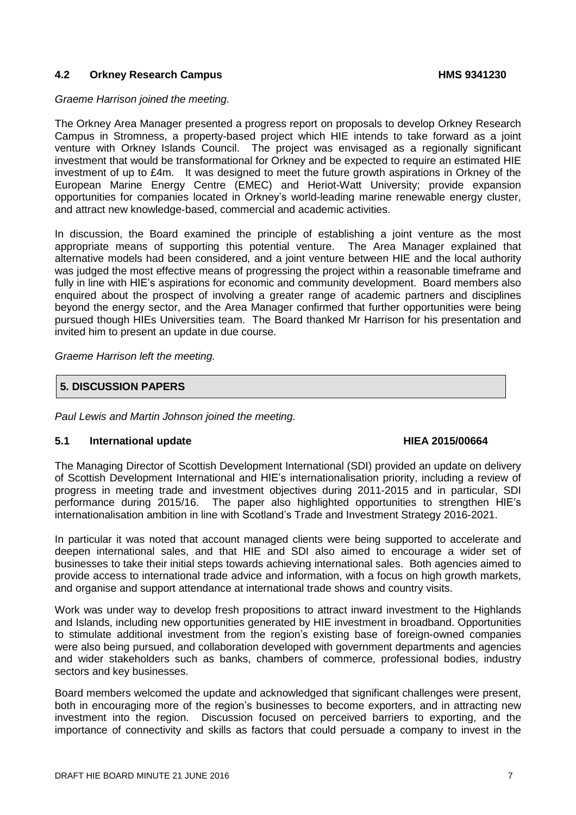### **4.2 Orkney Research Campus HMS 9341230**

*Graeme Harrison joined the meeting.*

The Orkney Area Manager presented a progress report on proposals to develop Orkney Research Campus in Stromness, a property-based project which HIE intends to take forward as a joint venture with Orkney Islands Council. The project was envisaged as a regionally significant investment that would be transformational for Orkney and be expected to require an estimated HIE investment of up to £4m. It was designed to meet the future growth aspirations in Orkney of the European Marine Energy Centre (EMEC) and Heriot-Watt University; provide expansion opportunities for companies located in Orkney's world-leading marine renewable energy cluster, and attract new knowledge-based, commercial and academic activities.

In discussion, the Board examined the principle of establishing a joint venture as the most appropriate means of supporting this potential venture. The Area Manager explained that alternative models had been considered, and a joint venture between HIE and the local authority was judged the most effective means of progressing the project within a reasonable timeframe and fully in line with HIE's aspirations for economic and community development. Board members also enquired about the prospect of involving a greater range of academic partners and disciplines beyond the energy sector, and the Area Manager confirmed that further opportunities were being pursued though HIEs Universities team. The Board thanked Mr Harrison for his presentation and invited him to present an update in due course.

*Graeme Harrison left the meeting.*

### **5. DISCUSSION PAPERS**

*Paul Lewis and Martin Johnson joined the meeting.*

### **5.1 International update HIEA 2015/00664**

The Managing Director of Scottish Development International (SDI) provided an update on delivery of Scottish Development International and HIE's internationalisation priority, including a review of progress in meeting trade and investment objectives during 2011-2015 and in particular, SDI performance during 2015/16. The paper also highlighted opportunities to strengthen HIE's internationalisation ambition in line with Scotland's Trade and Investment Strategy 2016-2021.

In particular it was noted that account managed clients were being supported to accelerate and deepen international sales, and that HIE and SDI also aimed to encourage a wider set of businesses to take their initial steps towards achieving international sales. Both agencies aimed to provide access to international trade advice and information, with a focus on high growth markets, and organise and support attendance at international trade shows and country visits.

Work was under way to develop fresh propositions to attract inward investment to the Highlands and Islands, including new opportunities generated by HIE investment in broadband. Opportunities to stimulate additional investment from the region's existing base of foreign-owned companies were also being pursued, and collaboration developed with government departments and agencies and wider stakeholders such as banks, chambers of commerce, professional bodies, industry sectors and key businesses.

Board members welcomed the update and acknowledged that significant challenges were present, both in encouraging more of the region's businesses to become exporters, and in attracting new investment into the region. Discussion focused on perceived barriers to exporting, and the importance of connectivity and skills as factors that could persuade a company to invest in the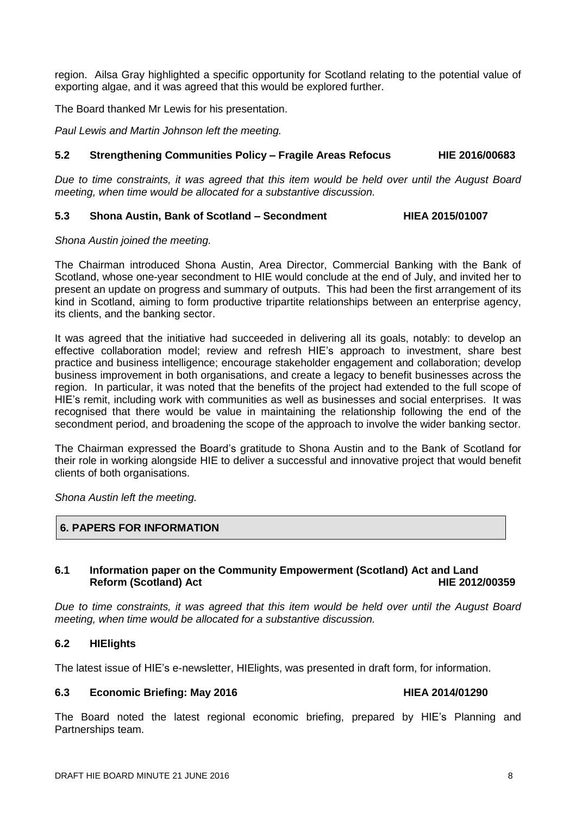region. Ailsa Gray highlighted a specific opportunity for Scotland relating to the potential value of exporting algae, and it was agreed that this would be explored further.

The Board thanked Mr Lewis for his presentation.

*Paul Lewis and Martin Johnson left the meeting.*

### **5.2 Strengthening Communities Policy – Fragile Areas Refocus HIE 2016/00683**

*Due to time constraints, it was agreed that this item would be held over until the August Board meeting, when time would be allocated for a substantive discussion.* 

### **5.3 Shona Austin, Bank of Scotland – Secondment HIEA 2015/01007**

*Shona Austin joined the meeting.*

The Chairman introduced Shona Austin, Area Director, Commercial Banking with the Bank of Scotland, whose one-year secondment to HIE would conclude at the end of July, and invited her to present an update on progress and summary of outputs. This had been the first arrangement of its kind in Scotland, aiming to form productive tripartite relationships between an enterprise agency, its clients, and the banking sector.

It was agreed that the initiative had succeeded in delivering all its goals, notably: to develop an effective collaboration model; review and refresh HIE's approach to investment, share best practice and business intelligence; encourage stakeholder engagement and collaboration; develop business improvement in both organisations, and create a legacy to benefit businesses across the region. In particular, it was noted that the benefits of the project had extended to the full scope of HIE's remit, including work with communities as well as businesses and social enterprises. It was recognised that there would be value in maintaining the relationship following the end of the secondment period, and broadening the scope of the approach to involve the wider banking sector.

The Chairman expressed the Board's gratitude to Shona Austin and to the Bank of Scotland for their role in working alongside HIE to deliver a successful and innovative project that would benefit clients of both organisations.

*Shona Austin left the meeting.*

### **6. PAPERS FOR INFORMATION**

### **6.1 Information paper on the Community Empowerment (Scotland) Act and Land Reform (Scotland) Act HIE 2012/00359**

*Due to time constraints, it was agreed that this item would be held over until the August Board meeting, when time would be allocated for a substantive discussion.* 

### **6.2 HIElights**

The latest issue of HIE's e-newsletter, HIElights, was presented in draft form, for information.

### **6.3 Economic Briefing: May 2016 HIEA 2014/01290**

The Board noted the latest regional economic briefing, prepared by HIE's Planning and Partnerships team.